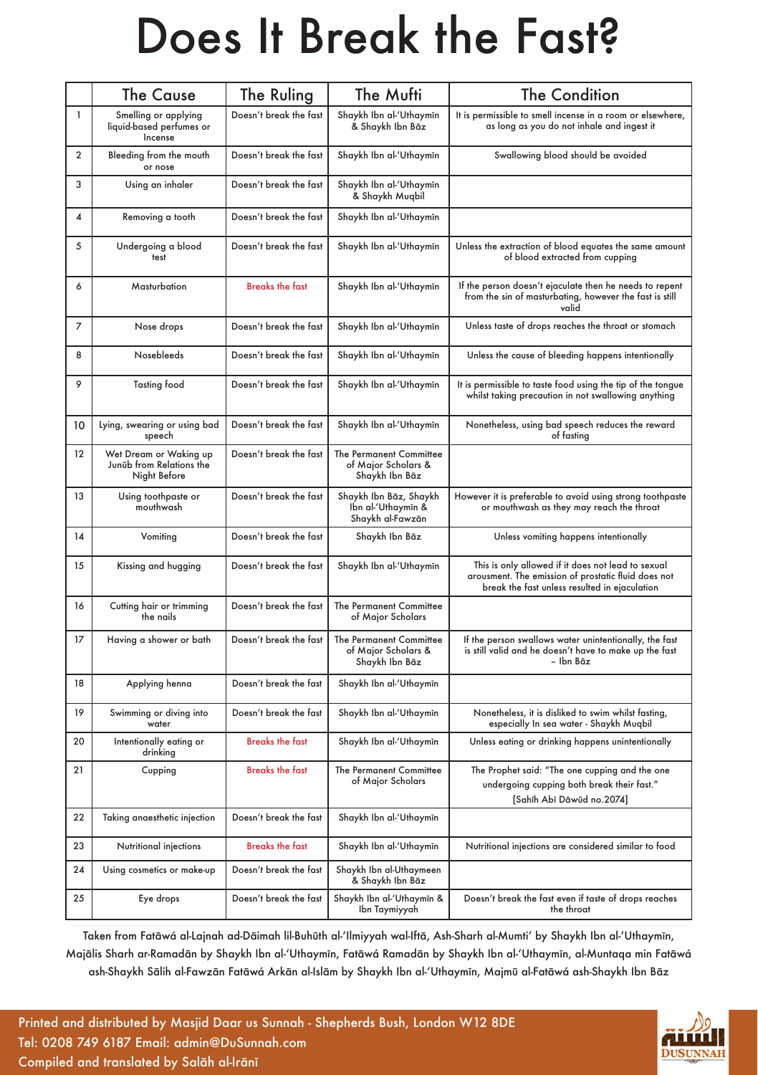# Does It Break the Fast?

|                         | <b>The Cause</b>                                                   | The Ruling             | The Mufti                                                        | <b>The Condition</b>                                                                                                                                       |
|-------------------------|--------------------------------------------------------------------|------------------------|------------------------------------------------------------------|------------------------------------------------------------------------------------------------------------------------------------------------------------|
| $\mathbf{1}$            | Smelling or applying<br>liquid-based perfumes or<br>Incense        | Doesn't break the fast | Shaykh Ibn al-'Uthaymīn<br>& Shaykh Ibn Bāz                      | It is permissible to smell incense in a room or elsewhere,<br>as long as you do not inhale and ingest it                                                   |
| $\overline{2}$          | Bleeding from the mouth<br>or nose                                 | Doesn't break the fast | Shaykh Ibn al-'Uthaymīn                                          | Swallowing blood should be avoided                                                                                                                         |
| 3                       | Using an inhaler                                                   | Doesn't break the fast | Shaykh Ibn al-'Uthaymīn<br>& Shaykh Muqbil                       |                                                                                                                                                            |
| $\overline{\mathbf{4}}$ | Removing a tooth                                                   | Doesn't break the fast | Shaykh Ibn al-'Uthaymīn                                          |                                                                                                                                                            |
| 5                       | Undergoing a blood<br>test                                         | Doesn't break the fast | Shaykh Ibn al-'Uthaymīn                                          | Unless the extraction of blood equates the same amount<br>of blood extracted from cupping                                                                  |
| 6                       | Masturbation                                                       | <b>Breaks the fast</b> | Shaykh Ibn al-'Uthaymīn                                          | If the person doesn't ejaculate then he needs to repent<br>from the sin of masturbating, however the fast is still<br>valid                                |
| 7                       | Nose drops                                                         | Doesn't break the fast | Shaykh Ibn al-'Uthaymīn                                          | Unless taste of drops reaches the throat or stomach                                                                                                        |
| 8                       | Nosebleeds                                                         | Doesn't break the fast | Shaykh Ibn al-'Uthaymīn                                          | Unless the cause of bleeding happens intentionally                                                                                                         |
| 9                       | <b>Tasting food</b>                                                | Doesn't break the fast | Shaykh Ibn al-'Uthaymīn                                          | It is permissible to taste food using the tip of the tonque<br>whilst taking precaution in not swallowing anything                                         |
| 10                      | Lying, swearing or using bad<br>speech                             | Doesn't break the fast | Shaykh Ibn al-'Uthaymīn                                          | Nonetheless, using bad speech reduces the reward<br>of fasting                                                                                             |
| 12                      | Wet Dream or Waking up<br>Junüb from Relations the<br>Night Before | Doesn't break the fast | The Permanent Committee<br>of Major Scholars &<br>Shaykh Ibn Bāz |                                                                                                                                                            |
| 13                      | Using toothpaste or<br>mouthwash                                   | Doesn't break the fast | Shaykh Ibn Bāz, Shaykh<br>Ibn al-'Uthaymīn &<br>Shaykh al-Fawzān | However it is preferable to avoid using strong toothpaste<br>or mouthwash as they may reach the throat                                                     |
| 14                      | Vomiting                                                           | Doesn't break the fast | Shaykh Ibn Bāz                                                   | Unless vomiting happens intentionally                                                                                                                      |
| 15                      | Kissing and hugging                                                | Doesn't break the fast | Shaykh Ibn al-'Uthaymīn                                          | This is only allowed if it does not lead to sexual<br>arousment. The emission of prostatic fluid does not<br>break the fast unless resulted in ejaculation |
| 16                      | Cutting hair or trimming<br>the nails                              | Doesn't break the fast | The Permanent Committee<br>of Major Scholars                     |                                                                                                                                                            |
| 17                      | Having a shower or bath                                            | Doesn't break the fast | The Permanent Committee<br>of Major Scholars &<br>Shaykh Ibn Bāz | If the person swallows water unintentionally, the fast<br>is still valid and he doesn't have to make up the fast<br>– Ibn Bāz                              |
| 18                      | Applying henna                                                     | Doesn't break the fast | Shaykh Ibn al-'Uthaymīn                                          |                                                                                                                                                            |
| 19                      | Swimming or diving into<br>water                                   | Doesn't break the fast | Shaykh Ibn al-'Uthaymīn                                          | Nonetheless, it is disliked to swim whilst fasting,<br>especially In sea water - Shaykh Muqbil                                                             |
| 20                      | Intentionally eating or<br>drinking                                | <b>Breaks the fast</b> | Shaykh Ibn al-'Uthaymīn                                          | Unless eating or drinking happens unintentionally                                                                                                          |
| 21                      | Cupping                                                            | <b>Breaks the fast</b> | The Permanent Committee<br>of Major Scholars                     | The Prophet said: "The one cupping and the one<br>undergoing cupping both break their fast."<br>[Sahīh Abī Dāwūd no.2074]                                  |
| 22                      | Taking anaesthetic injection                                       | Doesn't break the fast | Shaykh Ibn al-'Uthaymīn                                          |                                                                                                                                                            |
| 23                      | Nutritional injections                                             | <b>Breaks the fast</b> | Shaykh Ibn al-'Uthaymīn                                          | Nutritional injections are considered similar to food                                                                                                      |
| 24                      | Using cosmetics or make-up                                         | Doesn't break the fast | Shaykh Ibn al-Uthaymeen<br>& Shaykh Ibn Bāz                      |                                                                                                                                                            |
| 25                      | Eye drops                                                          | Doesn't break the fast | Shaykh Ibn al-'Uthaymīn &<br>Ibn Taymiyyah                       | Doesn't break the fast even if taste of drops reaches<br>the throat                                                                                        |

Taken from Fatāwá al-Lajnah ad-Dāimah lil-Buhūth al-'Ilmiyyah wal-Iftā, Ash-Sharh al-Mumti' by Shaykh Ibn al-'Uthaymīn, Majālis Sharh ar-Ramadān by Shaykh Ibn al-'Uthaymīn, Fatāwá Ramadān by Shaykh Ibn al-'Uthaymīn, al-Muntaqa min Fatāwá ash-Shaykh Sālih al-Fawzān Fatāwá Arkān al-Islām by Shaykh Ibn al-'Uthaymīn, Majmū al-Fatāwá ash-Shaykh Ibn Bāz